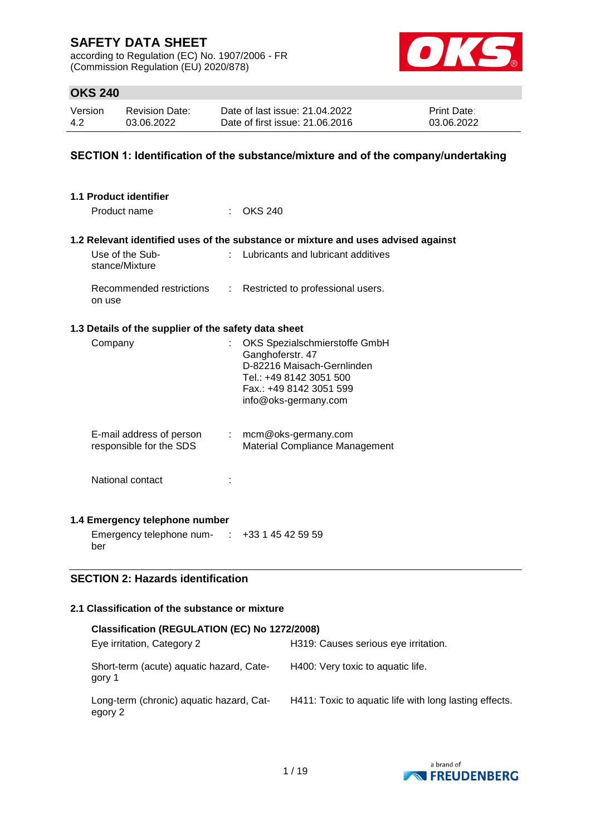according to Regulation (EC) No. 1907/2006 - FR (Commission Regulation (EU) 2020/878)



## **OKS 240**

| Version | <b>Revision Date:</b> | Date of last issue: 21.04.2022  | <b>Print Date:</b> |
|---------|-----------------------|---------------------------------|--------------------|
| 4.2     | 03.06.2022            | Date of first issue: 21.06.2016 | 03.06.2022         |

## **SECTION 1: Identification of the substance/mixture and of the company/undertaking**

| 1.1 Product identifier                                    |   |                                                                                                                                                               |  |
|-----------------------------------------------------------|---|---------------------------------------------------------------------------------------------------------------------------------------------------------------|--|
| Product name                                              |   | : OKS 240                                                                                                                                                     |  |
|                                                           |   | 1.2 Relevant identified uses of the substance or mixture and uses advised against                                                                             |  |
| Use of the Sub-<br>stance/Mixture                         |   | Lubricants and lubricant additives                                                                                                                            |  |
| Recommended restrictions<br>on use                        | ÷ | Restricted to professional users.                                                                                                                             |  |
| 1.3 Details of the supplier of the safety data sheet      |   |                                                                                                                                                               |  |
| Company                                                   |   | OKS Spezialschmierstoffe GmbH<br>Ganghoferstr. 47<br>D-82216 Maisach-Gernlinden<br>Tel.: +49 8142 3051 500<br>Fax.: +49 8142 3051 599<br>info@oks-germany.com |  |
| E-mail address of person<br>responsible for the SDS       |   | $:$ mcm@oks-germany.com<br>Material Compliance Management                                                                                                     |  |
| National contact                                          |   |                                                                                                                                                               |  |
| 1.4 Emergency telephone number                            |   |                                                                                                                                                               |  |
| Emergency telephone num- $\cdot$ +33 1 45 42 59 59<br>ber |   |                                                                                                                                                               |  |
| <b>SECTION 2: Hazards identification</b>                  |   |                                                                                                                                                               |  |
| 2.1 Classification of the substance or mixture            |   |                                                                                                                                                               |  |

| Classification (REGULATION (EC) No 1272/2008)       |                                                        |
|-----------------------------------------------------|--------------------------------------------------------|
| Eye irritation, Category 2                          | H319: Causes serious eye irritation.                   |
| Short-term (acute) aquatic hazard, Cate-<br>gory 1  | H400: Very toxic to aquatic life.                      |
| Long-term (chronic) aquatic hazard, Cat-<br>egory 2 | H411: Toxic to aquatic life with long lasting effects. |

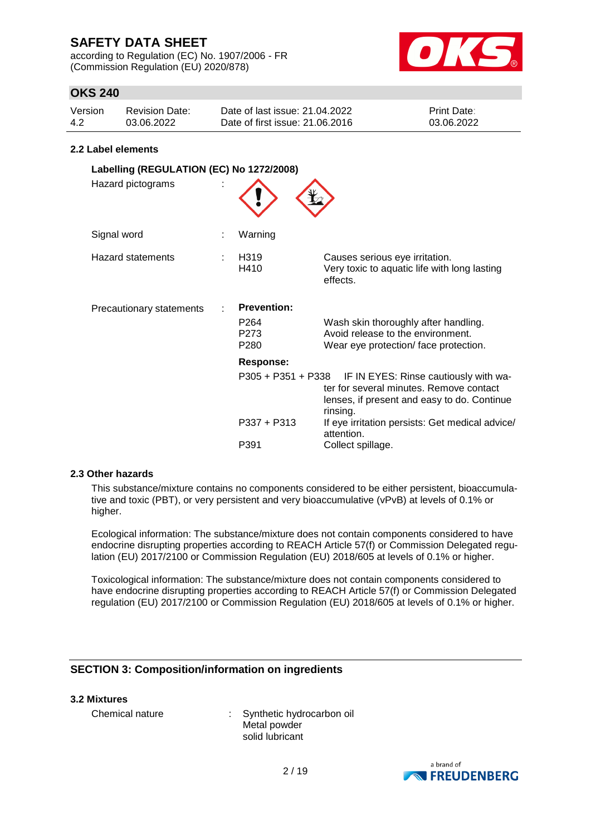according to Regulation (EC) No. 1907/2006 - FR (Commission Regulation (EU) 2020/878)



## **OKS 240**

| Version | Revision Date: | Date of last issue: 21.04.2022  | <b>Print Date:</b> |
|---------|----------------|---------------------------------|--------------------|
| 4.2     | 03.06.2022     | Date of first issue: 21.06.2016 | 03.06.2022         |

#### **2.2 Label elements**

| Labelling (REGULATION (EC) No 1272/2008)<br>Hazard pictograms |                                                                    |                                                                                                                                                                                                                                                      |
|---------------------------------------------------------------|--------------------------------------------------------------------|------------------------------------------------------------------------------------------------------------------------------------------------------------------------------------------------------------------------------------------------------|
| Signal word                                                   | Warning                                                            |                                                                                                                                                                                                                                                      |
| <b>Hazard statements</b>                                      | H319<br>H410                                                       | Causes serious eye irritation.<br>Very toxic to aquatic life with long lasting<br>effects.                                                                                                                                                           |
| <b>Precautionary statements</b>                               | <b>Prevention:</b><br>P <sub>264</sub><br>P <sub>273</sub><br>P280 | Wash skin thoroughly after handling.<br>Avoid release to the environment.<br>Wear eye protection/face protection.                                                                                                                                    |
|                                                               | <b>Response:</b><br>$P337 + P313$<br>P391                          | P305 + P351 + P338 IF IN EYES: Rinse cautiously with wa-<br>ter for several minutes. Remove contact<br>lenses, if present and easy to do. Continue<br>rinsing.<br>If eye irritation persists: Get medical advice/<br>attention.<br>Collect spillage. |

#### **2.3 Other hazards**

This substance/mixture contains no components considered to be either persistent, bioaccumulative and toxic (PBT), or very persistent and very bioaccumulative (vPvB) at levels of 0.1% or higher.

Ecological information: The substance/mixture does not contain components considered to have endocrine disrupting properties according to REACH Article 57(f) or Commission Delegated regulation (EU) 2017/2100 or Commission Regulation (EU) 2018/605 at levels of 0.1% or higher.

Toxicological information: The substance/mixture does not contain components considered to have endocrine disrupting properties according to REACH Article 57(f) or Commission Delegated regulation (EU) 2017/2100 or Commission Regulation (EU) 2018/605 at levels of 0.1% or higher.

### **SECTION 3: Composition/information on ingredients**

#### **3.2 Mixtures**

Chemical nature : Synthetic hydrocarbon oil Metal powder solid lubricant

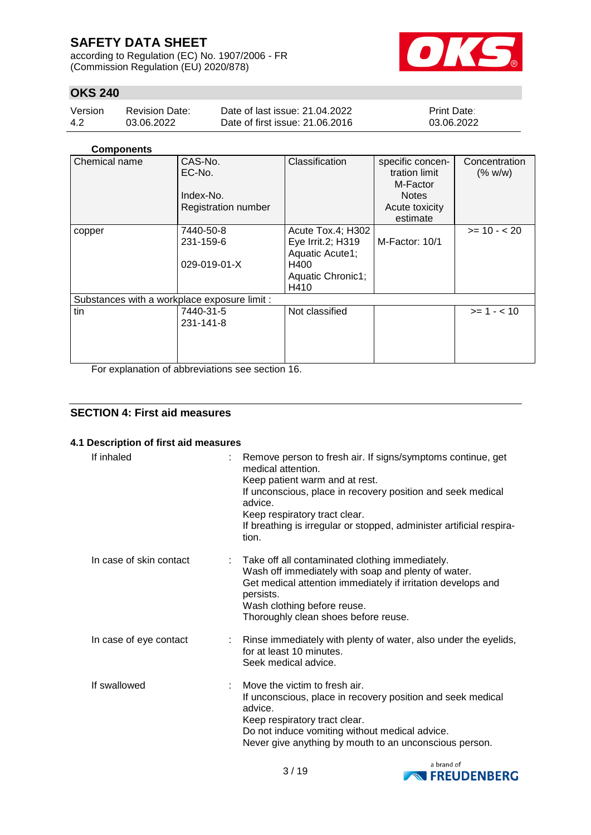according to Regulation (EC) No. 1907/2006 - FR (Commission Regulation (EU) 2020/878)



## **OKS 240**

| Version | <b>Revision Date:</b> | Date of last issue: 21.04.2022  | <b>Print Date:</b> |
|---------|-----------------------|---------------------------------|--------------------|
| -4.2    | 03.06.2022            | Date of first issue: 21,06,2016 | 03.06.2022         |

#### **Components**

| Chemical name                                | CAS-No.                    | Classification    | specific concen- | Concentration |
|----------------------------------------------|----------------------------|-------------------|------------------|---------------|
|                                              | EC-No.                     |                   | tration limit    | (% w/w)       |
|                                              |                            |                   | M-Factor         |               |
|                                              | Index-No.                  |                   | <b>Notes</b>     |               |
|                                              | <b>Registration number</b> |                   | Acute toxicity   |               |
|                                              |                            |                   | estimate         |               |
| copper                                       | 7440-50-8                  | Acute Tox.4; H302 |                  | $>= 10 - 20$  |
|                                              | 231-159-6                  | Eye Irrit.2; H319 | M-Factor: 10/1   |               |
|                                              |                            | Aquatic Acute1;   |                  |               |
|                                              | 029-019-01-X               | H400              |                  |               |
|                                              |                            | Aquatic Chronic1; |                  |               |
|                                              |                            | H410              |                  |               |
| Substances with a workplace exposure limit : |                            |                   |                  |               |
| tin                                          | 7440-31-5                  | Not classified    |                  | $>= 1 - 10$   |
|                                              | 231-141-8                  |                   |                  |               |
|                                              |                            |                   |                  |               |
|                                              |                            |                   |                  |               |
|                                              |                            |                   |                  |               |
| 青っ いっこうしょう いちょうしょう おおおし しょうきょけい              |                            | $\cdots$ $\cdots$ |                  |               |

For explanation of abbreviations see section 16.

### **SECTION 4: First aid measures**

#### **4.1 Description of first aid measures**

| If inhaled              | Remove person to fresh air. If signs/symptoms continue, get<br>medical attention.<br>Keep patient warm and at rest.<br>If unconscious, place in recovery position and seek medical<br>advice.<br>Keep respiratory tract clear.<br>If breathing is irregular or stopped, administer artificial respira-<br>tion. |
|-------------------------|-----------------------------------------------------------------------------------------------------------------------------------------------------------------------------------------------------------------------------------------------------------------------------------------------------------------|
| In case of skin contact | : Take off all contaminated clothing immediately.<br>Wash off immediately with soap and plenty of water.<br>Get medical attention immediately if irritation develops and<br>persists.<br>Wash clothing before reuse.<br>Thoroughly clean shoes before reuse.                                                    |
| In case of eye contact  | : Rinse immediately with plenty of water, also under the eyelids,<br>for at least 10 minutes.<br>Seek medical advice.                                                                                                                                                                                           |
| If swallowed            | Move the victim to fresh air.<br>If unconscious, place in recovery position and seek medical<br>advice.<br>Keep respiratory tract clear.<br>Do not induce vomiting without medical advice.<br>Never give anything by mouth to an unconscious person.                                                            |

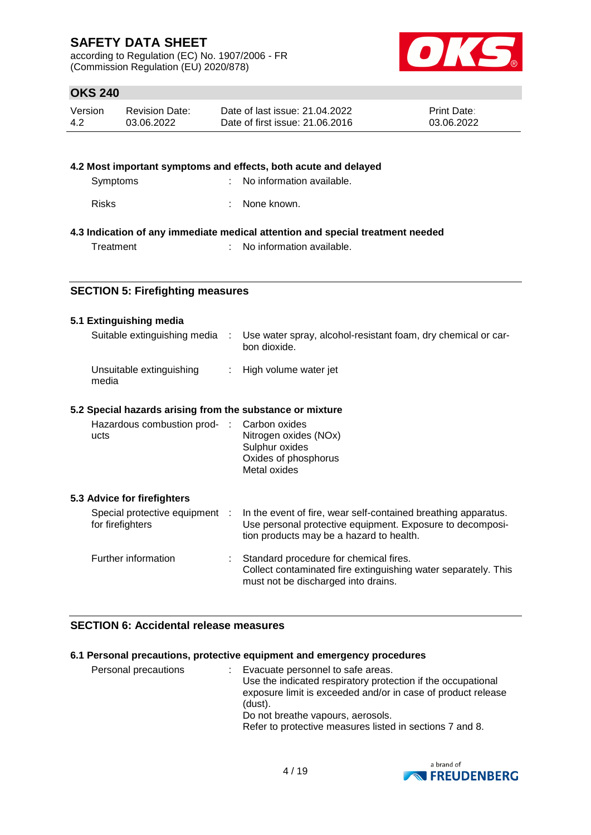according to Regulation (EC) No. 1907/2006 - FR (Commission Regulation (EU) 2020/878)



## **OKS 240**

| Version | Revision Date: | Date of last issue: 21.04.2022  | <b>Print Date:</b> |
|---------|----------------|---------------------------------|--------------------|
| 4.2     | 03.06.2022     | Date of first issue: 21,06,2016 | 03.06.2022         |

### **4.2 Most important symptoms and effects, both acute and delayed** Symptoms : No information available.

| <b>Risks</b> | None known. |
|--------------|-------------|
|              |             |

### **4.3 Indication of any immediate medical attention and special treatment needed**

Treatment : No information available.

### **SECTION 5: Firefighting measures**

#### **5.1 Extinguishing media**

| Suitable extinguishing media                              | $\sim$ 100 $\sim$         | Use water spray, alcohol-resistant foam, dry chemical or car-<br>bon dioxide.                                                                                           |
|-----------------------------------------------------------|---------------------------|-------------------------------------------------------------------------------------------------------------------------------------------------------------------------|
| Unsuitable extinguishing<br>media                         | $\mathbb{Z}^{\mathbb{Z}}$ | High volume water jet                                                                                                                                                   |
| 5.2 Special hazards arising from the substance or mixture |                           |                                                                                                                                                                         |
| Hazardous combustion prod- :<br>ucts                      |                           | Carbon oxides<br>Nitrogen oxides (NOx)<br>Sulphur oxides<br>Oxides of phosphorus<br>Metal oxides                                                                        |
| 5.3 Advice for firefighters                               |                           |                                                                                                                                                                         |
| Special protective equipment :<br>for firefighters        |                           | In the event of fire, wear self-contained breathing apparatus.<br>Use personal protective equipment. Exposure to decomposi-<br>tion products may be a hazard to health. |
| Further information                                       |                           | Standard procedure for chemical fires.<br>Collect contaminated fire extinguishing water separately. This<br>must not be discharged into drains.                         |

## **SECTION 6: Accidental release measures**

### **6.1 Personal precautions, protective equipment and emergency procedures**

| Personal precautions | : Evacuate personnel to safe areas.<br>Use the indicated respiratory protection if the occupational<br>exposure limit is exceeded and/or in case of product release |
|----------------------|---------------------------------------------------------------------------------------------------------------------------------------------------------------------|
|                      | (dust).                                                                                                                                                             |
|                      | Do not breathe vapours, aerosols.                                                                                                                                   |
|                      | Refer to protective measures listed in sections 7 and 8.                                                                                                            |

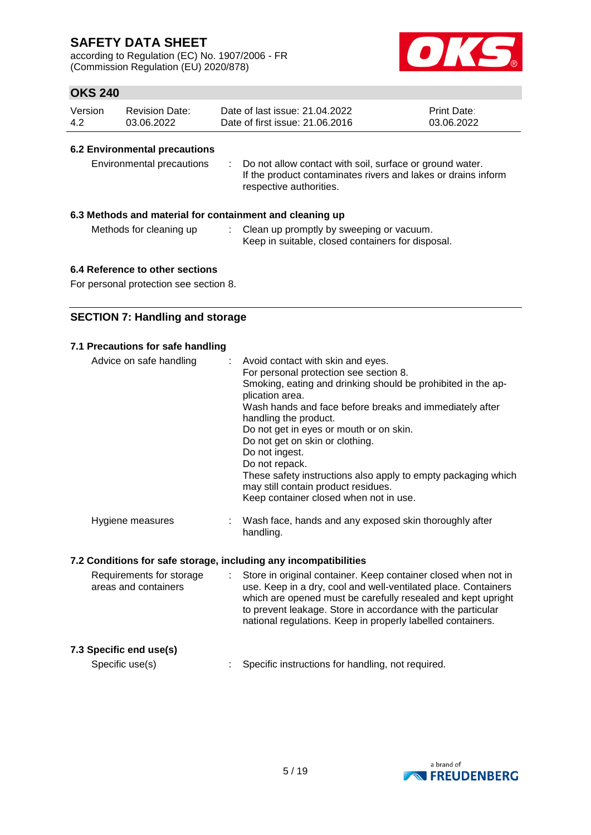according to Regulation (EC) No. 1907/2006 - FR (Commission Regulation (EU) 2020/878)



## **OKS 240**

| Version | Revision Date: | Date of last issue: 21.04.2022  | <b>Print Date:</b> |
|---------|----------------|---------------------------------|--------------------|
| -4.2    | 03.06.2022     | Date of first issue: 21,06,2016 | 03.06.2022         |

#### **6.2 Environmental precautions**

| Environmental precautions |  | : Do not allow contact with soil, surface or ground water.<br>If the product contaminates rivers and lakes or drains inform<br>respective authorities. |
|---------------------------|--|--------------------------------------------------------------------------------------------------------------------------------------------------------|
|---------------------------|--|--------------------------------------------------------------------------------------------------------------------------------------------------------|

#### **6.3 Methods and material for containment and cleaning up**

| Methods for cleaning up | Clean up promptly by sweeping or vacuum.          |
|-------------------------|---------------------------------------------------|
|                         | Keep in suitable, closed containers for disposal. |

#### **6.4 Reference to other sections**

For personal protection see section 8.

## **SECTION 7: Handling and storage**

#### **7.1 Precautions for safe handling**

| Advice on safe handling | : Avoid contact with skin and eyes.<br>For personal protection see section 8.<br>Smoking, eating and drinking should be prohibited in the ap-<br>plication area.<br>Wash hands and face before breaks and immediately after<br>handling the product.<br>Do not get in eyes or mouth or on skin.<br>Do not get on skin or clothing.<br>Do not ingest.<br>Do not repack.<br>These safety instructions also apply to empty packaging which<br>may still contain product residues.<br>Keep container closed when not in use. |
|-------------------------|--------------------------------------------------------------------------------------------------------------------------------------------------------------------------------------------------------------------------------------------------------------------------------------------------------------------------------------------------------------------------------------------------------------------------------------------------------------------------------------------------------------------------|
| Hygiene measures        | Wash face, hands and any exposed skin thoroughly after<br>handling.                                                                                                                                                                                                                                                                                                                                                                                                                                                      |

#### **7.2 Conditions for safe storage, including any incompatibilities**

| Requirements for storage<br>areas and containers |  | Store in original container. Keep container closed when not in<br>use. Keep in a dry, cool and well-ventilated place. Containers<br>which are opened must be carefully resealed and kept upright<br>to prevent leakage. Store in accordance with the particular<br>national regulations. Keep in properly labelled containers. |
|--------------------------------------------------|--|--------------------------------------------------------------------------------------------------------------------------------------------------------------------------------------------------------------------------------------------------------------------------------------------------------------------------------|
| 7.3 Specific end use(s)                          |  |                                                                                                                                                                                                                                                                                                                                |
| Specific use(s)                                  |  | Specific instructions for handling, not required.                                                                                                                                                                                                                                                                              |

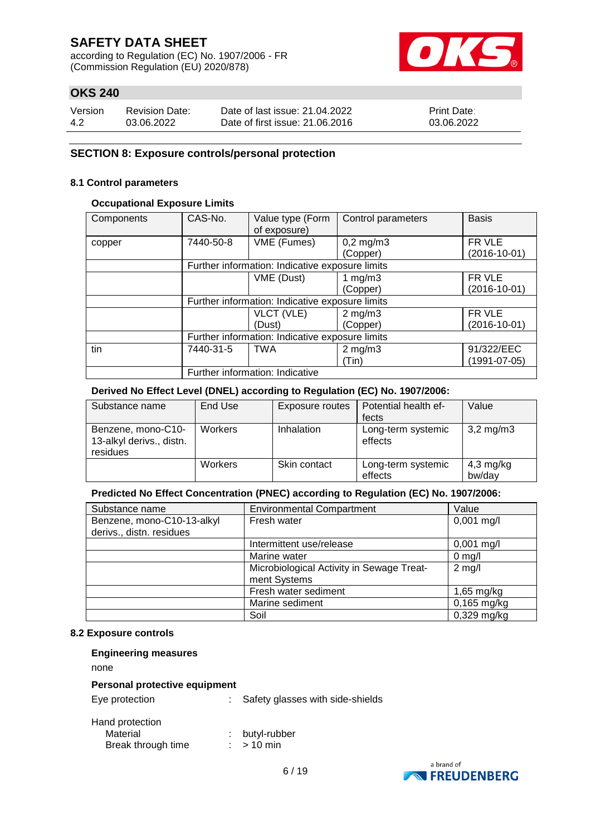according to Regulation (EC) No. 1907/2006 - FR (Commission Regulation (EU) 2020/878)



## **OKS 240**

| Version | <b>Revision Date:</b> | Date of last issue: 21.04.2022  | <b>Print Date:</b> |
|---------|-----------------------|---------------------------------|--------------------|
| -4.2    | 03.06.2022            | Date of first issue: 21,06,2016 | 03.06.2022         |

#### **SECTION 8: Exposure controls/personal protection**

#### **8.1 Control parameters**

#### **Occupational Exposure Limits**

| Components | CAS-No.                         | Value type (Form<br>of exposure)                | Control parameters | <b>Basis</b>       |  |  |  |
|------------|---------------------------------|-------------------------------------------------|--------------------|--------------------|--|--|--|
| copper     | 7440-50-8                       | VME (Fumes)                                     | $0,2$ mg/m $3$     | FR VLE             |  |  |  |
|            |                                 |                                                 | (Copper)           | $(2016 - 10 - 01)$ |  |  |  |
|            |                                 | Further information: Indicative exposure limits |                    |                    |  |  |  |
|            |                                 | VME (Dust)<br>1 mg/m $3$                        |                    | FR VLE             |  |  |  |
|            |                                 |                                                 | (Copper)           | $(2016 - 10 - 01)$ |  |  |  |
|            |                                 | Further information: Indicative exposure limits |                    |                    |  |  |  |
|            |                                 | VLCT (VLE)                                      | $2$ mg/m $3$       | FR VLE             |  |  |  |
|            |                                 | (Dust)                                          | (Copper)           | $(2016 - 10 - 01)$ |  |  |  |
|            |                                 | Further information: Indicative exposure limits |                    |                    |  |  |  |
| tin        | 7440-31-5                       | <b>TWA</b>                                      | $2$ mg/m $3$       | 91/322/EEC         |  |  |  |
|            |                                 |                                                 | (Tin)              | $(1991 - 07 - 05)$ |  |  |  |
|            | Further information: Indicative |                                                 |                    |                    |  |  |  |

#### **Derived No Effect Level (DNEL) according to Regulation (EC) No. 1907/2006:**

| Substance name                                             | End Use        | Exposure routes | Potential health ef-          | Value                 |
|------------------------------------------------------------|----------------|-----------------|-------------------------------|-----------------------|
|                                                            |                |                 | fects                         |                       |
| Benzene, mono-C10-<br>13-alkyl derivs., distn.<br>residues | <b>Workers</b> | Inhalation      | Long-term systemic<br>effects | $3,2 \,\mathrm{mg/m}$ |
|                                                            | Workers        | Skin contact    | Long-term systemic<br>effects | 4,3 mg/kg<br>bw/day   |

#### **Predicted No Effect Concentration (PNEC) according to Regulation (EC) No. 1907/2006:**

| Substance name             | <b>Environmental Compartment</b>          | Value         |
|----------------------------|-------------------------------------------|---------------|
| Benzene, mono-C10-13-alkyl | Fresh water                               | $0,001$ mg/l  |
| derivs., distn. residues   |                                           |               |
|                            | Intermittent use/release                  | $0,001$ mg/l  |
|                            | Marine water                              | $0$ mg/l      |
|                            | Microbiological Activity in Sewage Treat- | $2$ mg/l      |
|                            | ment Systems                              |               |
|                            | Fresh water sediment                      | $1,65$ mg/kg  |
|                            | Marine sediment                           | $0,165$ mg/kg |
|                            | Soil                                      | $0,329$ mg/kg |

#### **8.2 Exposure controls**

| <b>Engineering measures</b>                       |                                  |
|---------------------------------------------------|----------------------------------|
| none                                              |                                  |
| Personal protective equipment                     |                                  |
| Eye protection                                    | Safety glasses with side-shields |
| Hand protection<br>Material<br>Break through time | butyl-rubber<br>$> 10$ min       |



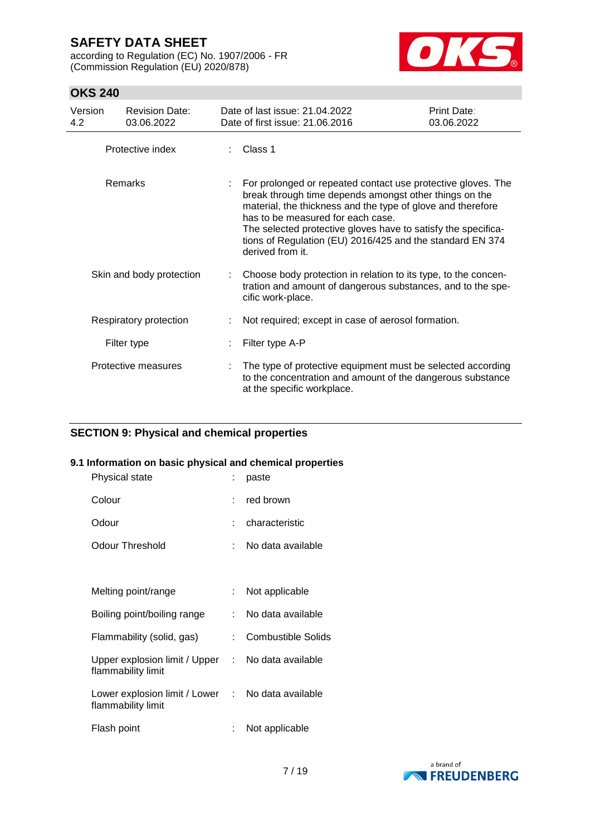according to Regulation (EC) No. 1907/2006 - FR (Commission Regulation (EU) 2020/878)



## **OKS 240**

| Version<br>4.2 | <b>Revision Date:</b><br>03.06.2022 | Date of last issue: 21.04.2022<br>Date of first issue: 21.06.2016                                                                                                                                                                                                                                                                                                            | Print Date:<br>03.06.2022 |
|----------------|-------------------------------------|------------------------------------------------------------------------------------------------------------------------------------------------------------------------------------------------------------------------------------------------------------------------------------------------------------------------------------------------------------------------------|---------------------------|
|                | Protective index                    | Class 1                                                                                                                                                                                                                                                                                                                                                                      |                           |
|                | <b>Remarks</b>                      | For prolonged or repeated contact use protective gloves. The<br>break through time depends amongst other things on the<br>material, the thickness and the type of glove and therefore<br>has to be measured for each case.<br>The selected protective gloves have to satisfy the specifica-<br>tions of Regulation (EU) 2016/425 and the standard EN 374<br>derived from it. |                           |
|                | Skin and body protection            | : Choose body protection in relation to its type, to the concen-<br>tration and amount of dangerous substances, and to the spe-<br>cific work-place.                                                                                                                                                                                                                         |                           |
|                | Respiratory protection              | Not required; except in case of aerosol formation.                                                                                                                                                                                                                                                                                                                           |                           |
|                | Filter type                         | Filter type A-P                                                                                                                                                                                                                                                                                                                                                              |                           |
|                | Protective measures                 | The type of protective equipment must be selected according<br>to the concentration and amount of the dangerous substance<br>at the specific workplace.                                                                                                                                                                                                                      |                           |

### **SECTION 9: Physical and chemical properties**

### **9.1 Information on basic physical and chemical properties**

| Physical state                                                          |    | paste                     |
|-------------------------------------------------------------------------|----|---------------------------|
| Colour                                                                  |    | $:$ red brown             |
| Odour                                                                   |    | characteristic            |
| <b>Odour Threshold</b>                                                  |    | No data available         |
|                                                                         |    |                           |
| Melting point/range                                                     | t. | Not applicable            |
| Boiling point/boiling range                                             | t. | No data available         |
| Flammability (solid, gas)                                               | t. | <b>Combustible Solids</b> |
| Upper explosion limit / Upper : No data available<br>flammability limit |    |                           |
| Lower explosion limit / Lower : No data available<br>flammability limit |    |                           |
| Flash point                                                             | ÷  | Not applicable            |

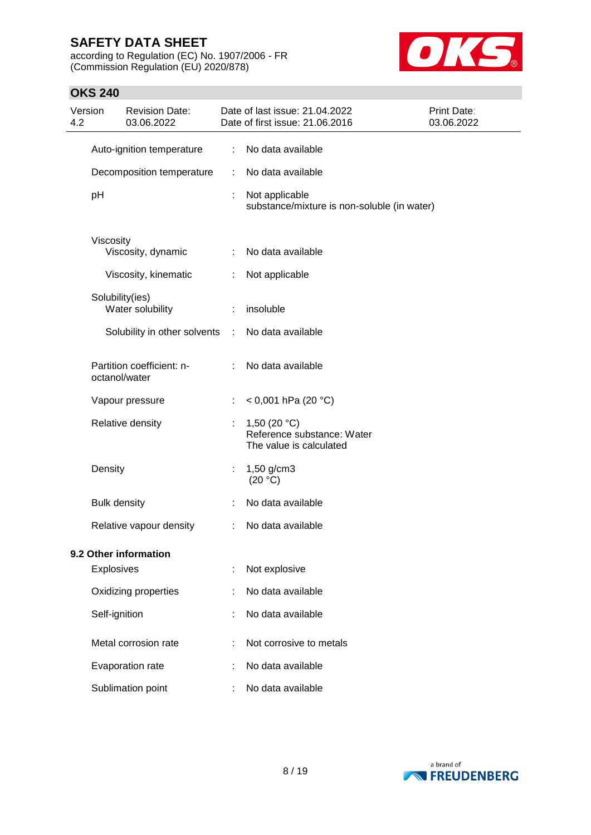according to Regulation (EC) No. 1907/2006 - FR (Commission Regulation (EU) 2020/878)



| Version<br>4.2 |                     | <b>Revision Date:</b><br>03.06.2022        |   | Date of last issue: 21.04.2022<br>Date of first issue: 21.06.2016       | Print Date:<br>03.06.2022 |
|----------------|---------------------|--------------------------------------------|---|-------------------------------------------------------------------------|---------------------------|
|                |                     | Auto-ignition temperature                  | ÷ | No data available                                                       |                           |
|                |                     | Decomposition temperature                  | ÷ | No data available                                                       |                           |
|                | pH                  |                                            |   | Not applicable<br>substance/mixture is non-soluble (in water)           |                           |
|                | Viscosity           | Viscosity, dynamic                         | ÷ | No data available                                                       |                           |
|                |                     | Viscosity, kinematic                       | ÷ | Not applicable                                                          |                           |
|                |                     | Solubility(ies)<br>Water solubility        |   | insoluble                                                               |                           |
|                |                     | Solubility in other solvents               | ÷ | No data available                                                       |                           |
|                |                     | Partition coefficient: n-<br>octanol/water | ÷ | No data available                                                       |                           |
|                |                     | Vapour pressure                            |   | < 0,001 hPa (20 °C)                                                     |                           |
|                |                     | Relative density                           |   | 1,50 $(20 °C)$<br>Reference substance: Water<br>The value is calculated |                           |
|                | Density             |                                            | ÷ | 1,50 g/cm3<br>(20 °C)                                                   |                           |
|                | <b>Bulk density</b> |                                            |   | No data available                                                       |                           |
|                |                     | Relative vapour density                    | ÷ | No data available                                                       |                           |
|                |                     | 9.2 Other information                      |   |                                                                         |                           |
|                | Explosives          |                                            |   | Not explosive                                                           |                           |
|                |                     | Oxidizing properties                       |   | No data available                                                       |                           |
|                | Self-ignition       |                                            |   | No data available                                                       |                           |
|                |                     | Metal corrosion rate                       |   | Not corrosive to metals                                                 |                           |
|                |                     | Evaporation rate                           |   | No data available                                                       |                           |
|                |                     | Sublimation point                          |   | No data available                                                       |                           |

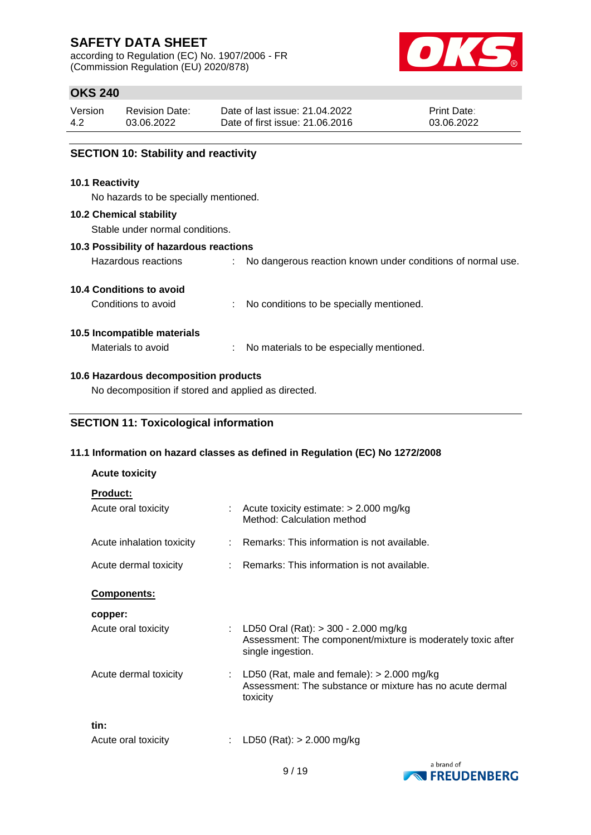according to Regulation (EC) No. 1907/2006 - FR (Commission Regulation (EU) 2020/878)



## **OKS 240**

| <b>SECTION 10: Stability and reactivity</b> |                       |                                 |                    |  |  |
|---------------------------------------------|-----------------------|---------------------------------|--------------------|--|--|
|                                             |                       |                                 |                    |  |  |
| 4.2                                         | 03.06.2022            | Date of first issue: 21.06.2016 | 03.06.2022         |  |  |
| Version                                     | <b>Revision Date:</b> | Date of last issue: 21.04.2022  | <b>Print Date:</b> |  |  |

Hazardous reactions : No dangerous reaction known under conditions of normal use.

#### **SECTION 10: Stability and reactivity**

#### **10.1 Reactivity**

No hazards to be specially mentioned.

#### **10.2 Chemical stability**

Stable under normal conditions.

#### **10.3 Possibility of hazardous reactions**

|  | 10.4 Conditions to avoid |  |  |
|--|--------------------------|--|--|

| Conditions to avoid | No conditions to be specially mentioned. |
|---------------------|------------------------------------------|
|                     |                                          |

#### **10.5 Incompatible materials**

Materials to avoid : No materials to be especially mentioned.

#### **10.6 Hazardous decomposition products**

No decomposition if stored and applied as directed.

### **SECTION 11: Toxicological information**

#### **11.1 Information on hazard classes as defined in Regulation (EC) No 1272/2008**

| <b>Acute toxicity</b>                  |                                                                                                                              |
|----------------------------------------|------------------------------------------------------------------------------------------------------------------------------|
| <b>Product:</b><br>Acute oral toxicity | $\therefore$ Acute toxicity estimate: $>$ 2.000 mg/kg<br>Method: Calculation method                                          |
| Acute inhalation toxicity              | $\therefore$ Remarks: This information is not available.                                                                     |
| Acute dermal toxicity                  | $\therefore$ Remarks: This information is not available.                                                                     |
| Components:                            |                                                                                                                              |
| copper:                                |                                                                                                                              |
| Acute oral toxicity                    | : LD50 Oral (Rat): $>$ 300 - 2.000 mg/kg<br>Assessment: The component/mixture is moderately toxic after<br>single ingestion. |
| Acute dermal toxicity                  | : LD50 (Rat, male and female): $> 2.000$ mg/kg<br>Assessment: The substance or mixture has no acute dermal<br>toxicity       |
| tin:<br>Acute oral toxicity            | LD50 (Rat): $> 2.000$ mg/kg                                                                                                  |

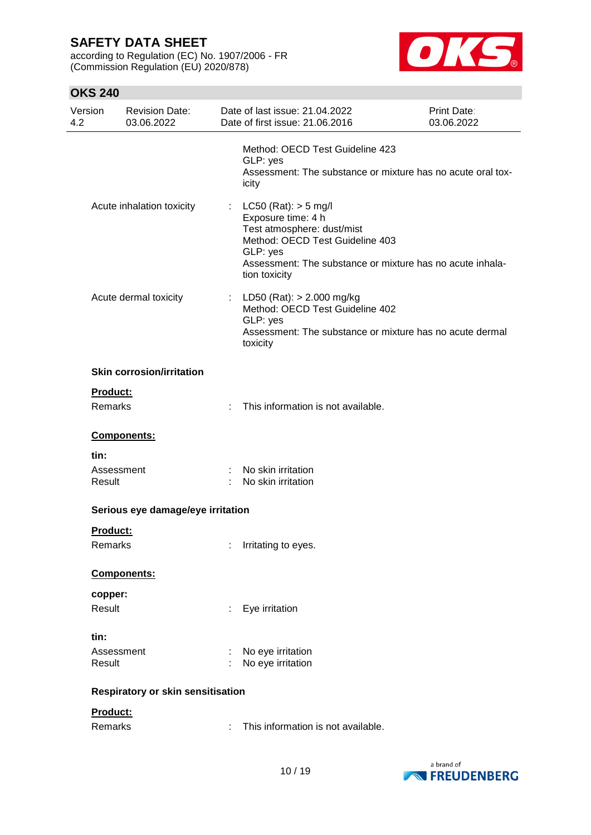according to Regulation (EC) No. 1907/2006 - FR (Commission Regulation (EU) 2020/878)



| Version<br>4.2 | <b>Revision Date:</b><br>03.06.2022 |   | Date of last issue: 21.04.2022<br>Date of first issue: 21.06.2016                                                                                                                                         | Print Date:<br>03.06.2022 |
|----------------|-------------------------------------|---|-----------------------------------------------------------------------------------------------------------------------------------------------------------------------------------------------------------|---------------------------|
|                |                                     |   | Method: OECD Test Guideline 423<br>GLP: yes<br>Assessment: The substance or mixture has no acute oral tox-<br>icity                                                                                       |                           |
|                | Acute inhalation toxicity           |   | : LC50 (Rat): $>$ 5 mg/l<br>Exposure time: 4 h<br>Test atmosphere: dust/mist<br>Method: OECD Test Guideline 403<br>GLP: yes<br>Assessment: The substance or mixture has no acute inhala-<br>tion toxicity |                           |
|                | Acute dermal toxicity               |   | : LD50 (Rat): $> 2.000$ mg/kg<br>Method: OECD Test Guideline 402<br>GLP: yes<br>Assessment: The substance or mixture has no acute dermal<br>toxicity                                                      |                           |
|                | <b>Skin corrosion/irritation</b>    |   |                                                                                                                                                                                                           |                           |
|                | Product:<br>Remarks                 | ÷ | This information is not available.                                                                                                                                                                        |                           |
|                | Components:                         |   |                                                                                                                                                                                                           |                           |
|                | tin:<br>Assessment<br>Result        |   | No skin irritation<br>No skin irritation                                                                                                                                                                  |                           |
|                | Serious eye damage/eye irritation   |   |                                                                                                                                                                                                           |                           |
|                | Product:<br>Remarks                 |   | : Irritating to eyes.                                                                                                                                                                                     |                           |
|                | Components:                         |   |                                                                                                                                                                                                           |                           |
|                | copper:                             |   |                                                                                                                                                                                                           |                           |
|                | Result                              |   | Eye irritation                                                                                                                                                                                            |                           |
|                | tin:<br>Assessment<br>Result        |   | No eye irritation<br>No eye irritation                                                                                                                                                                    |                           |
|                | Respiratory or skin sensitisation   |   |                                                                                                                                                                                                           |                           |
|                | Product:<br>Remarks                 |   | This information is not available.                                                                                                                                                                        |                           |

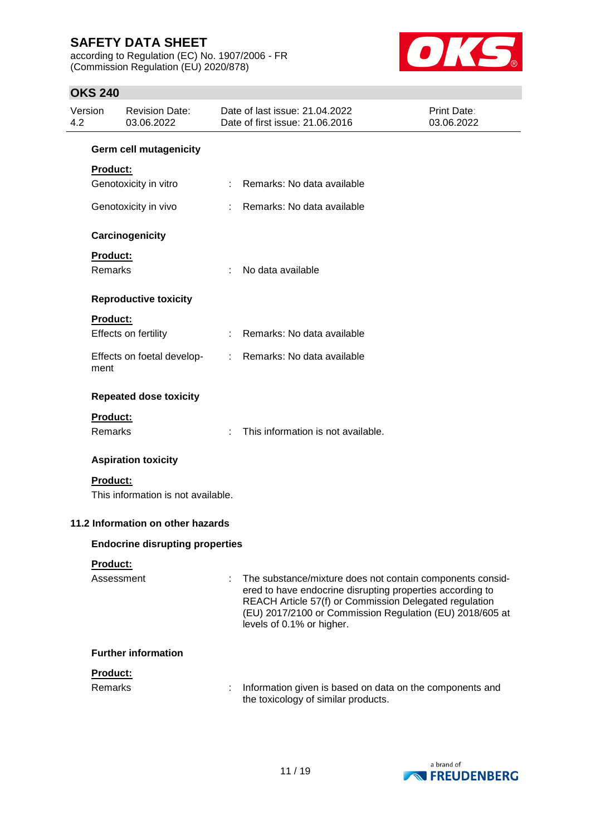according to Regulation (EC) No. 1907/2006 - FR (Commission Regulation (EU) 2020/878)



| 4.2 | Version         | <b>Revision Date:</b><br>03.06.2022    |    | Date of last issue: 21.04.2022<br>Date of first issue: 21.06.2016                                                                                                                                                                                                         | Print Date:<br>03.06.2022 |
|-----|-----------------|----------------------------------------|----|---------------------------------------------------------------------------------------------------------------------------------------------------------------------------------------------------------------------------------------------------------------------------|---------------------------|
|     |                 | <b>Germ cell mutagenicity</b>          |    |                                                                                                                                                                                                                                                                           |                           |
|     | Product:        |                                        |    |                                                                                                                                                                                                                                                                           |                           |
|     |                 | Genotoxicity in vitro                  |    | Remarks: No data available                                                                                                                                                                                                                                                |                           |
|     |                 | Genotoxicity in vivo                   |    | Remarks: No data available                                                                                                                                                                                                                                                |                           |
|     |                 | Carcinogenicity                        |    |                                                                                                                                                                                                                                                                           |                           |
|     | Product:        |                                        |    |                                                                                                                                                                                                                                                                           |                           |
|     | Remarks         |                                        | ÷  | No data available                                                                                                                                                                                                                                                         |                           |
|     |                 | <b>Reproductive toxicity</b>           |    |                                                                                                                                                                                                                                                                           |                           |
|     | Product:        |                                        |    |                                                                                                                                                                                                                                                                           |                           |
|     |                 | Effects on fertility                   | t. | Remarks: No data available                                                                                                                                                                                                                                                |                           |
|     | ment            | Effects on foetal develop-             | ÷. | Remarks: No data available                                                                                                                                                                                                                                                |                           |
|     |                 | <b>Repeated dose toxicity</b>          |    |                                                                                                                                                                                                                                                                           |                           |
|     | Product:        |                                        |    |                                                                                                                                                                                                                                                                           |                           |
|     | Remarks         |                                        |    | This information is not available.                                                                                                                                                                                                                                        |                           |
|     |                 | <b>Aspiration toxicity</b>             |    |                                                                                                                                                                                                                                                                           |                           |
|     | <b>Product:</b> |                                        |    |                                                                                                                                                                                                                                                                           |                           |
|     |                 | This information is not available.     |    |                                                                                                                                                                                                                                                                           |                           |
|     |                 | 11.2 Information on other hazards      |    |                                                                                                                                                                                                                                                                           |                           |
|     |                 | <b>Endocrine disrupting properties</b> |    |                                                                                                                                                                                                                                                                           |                           |
|     | Product:        |                                        |    |                                                                                                                                                                                                                                                                           |                           |
|     | Assessment      |                                        | ÷  | The substance/mixture does not contain components consid-<br>ered to have endocrine disrupting properties according to<br>REACH Article 57(f) or Commission Delegated regulation<br>(EU) 2017/2100 or Commission Regulation (EU) 2018/605 at<br>levels of 0.1% or higher. |                           |
|     |                 | <b>Further information</b>             |    |                                                                                                                                                                                                                                                                           |                           |
|     | Product:        |                                        |    |                                                                                                                                                                                                                                                                           |                           |
|     | Remarks         |                                        |    | Information given is based on data on the components and<br>the toxicology of similar products.                                                                                                                                                                           |                           |

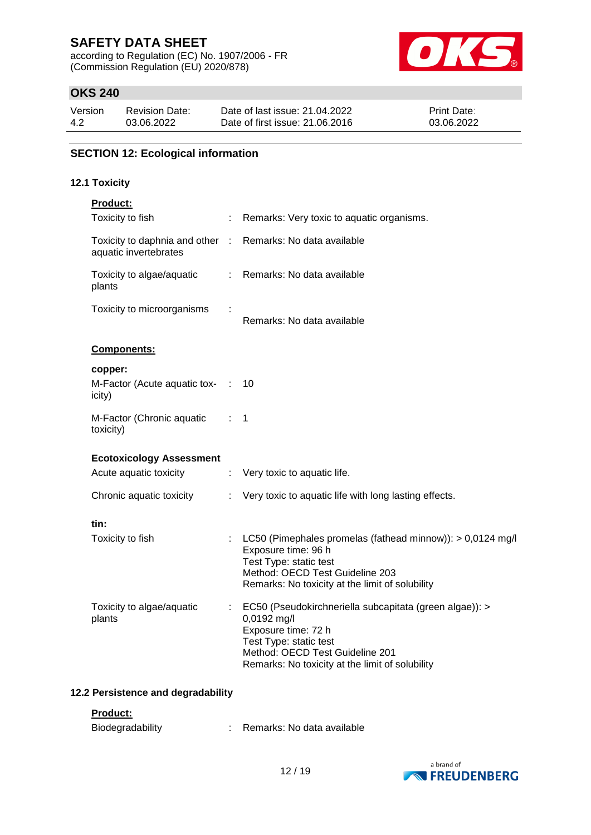according to Regulation (EC) No. 1907/2006 - FR (Commission Regulation (EU) 2020/878)



## **OKS 240**

| Version | <b>Revision Date:</b> | Date of last issue: 21.04.2022  | <b>Print Date:</b> |
|---------|-----------------------|---------------------------------|--------------------|
| 4.2     | 03.06.2022            | Date of first issue: 21,06,2016 | 03.06.2022         |

## **SECTION 12: Ecological information**

#### **12.1 Toxicity**

| Product:                                               |               |                                                                                                                                                                                                               |
|--------------------------------------------------------|---------------|---------------------------------------------------------------------------------------------------------------------------------------------------------------------------------------------------------------|
| Toxicity to fish                                       |               | Remarks: Very toxic to aquatic organisms.                                                                                                                                                                     |
| Toxicity to daphnia and other<br>aquatic invertebrates | $\mathcal{L}$ | Remarks: No data available                                                                                                                                                                                    |
| Toxicity to algae/aquatic<br>plants                    | ÷.            | Remarks: No data available                                                                                                                                                                                    |
| Toxicity to microorganisms                             |               | Remarks: No data available                                                                                                                                                                                    |
| Components:                                            |               |                                                                                                                                                                                                               |
| copper:<br>M-Factor (Acute aquatic tox- :<br>icity)    |               | 10                                                                                                                                                                                                            |
| M-Factor (Chronic aquatic<br>toxicity)                 | t in          | 1                                                                                                                                                                                                             |
| <b>Ecotoxicology Assessment</b>                        |               |                                                                                                                                                                                                               |
| Acute aquatic toxicity                                 | ÷.            | Very toxic to aquatic life.                                                                                                                                                                                   |
| Chronic aquatic toxicity                               |               | Very toxic to aquatic life with long lasting effects.                                                                                                                                                         |
| tin:                                                   |               |                                                                                                                                                                                                               |
| Toxicity to fish                                       |               | LC50 (Pimephales promelas (fathead minnow)): > 0,0124 mg/l<br>Exposure time: 96 h<br>Test Type: static test<br>Method: OECD Test Guideline 203<br>Remarks: No toxicity at the limit of solubility             |
| Toxicity to algae/aquatic<br>plants                    | ÷.            | EC50 (Pseudokirchneriella subcapitata (green algae)): ><br>0,0192 mg/l<br>Exposure time: 72 h<br>Test Type: static test<br>Method: OECD Test Guideline 201<br>Remarks: No toxicity at the limit of solubility |

### **12.2 Persistence and degradability**

### **Product:**

| Biodegradability |  | Remarks: No data available |
|------------------|--|----------------------------|
|------------------|--|----------------------------|

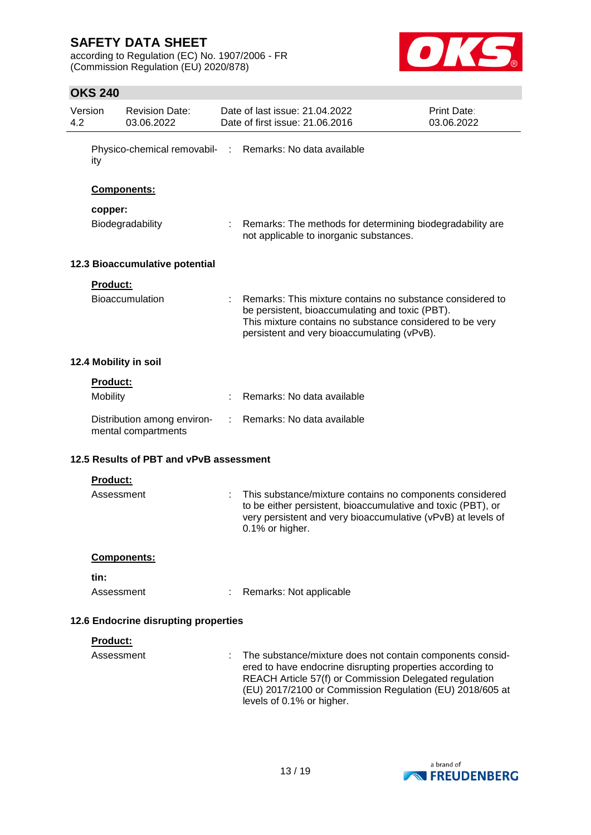according to Regulation (EC) No. 1907/2006 - FR (Commission Regulation (EU) 2020/878)



| Version<br>4.2 |                 | <b>Revision Date:</b><br>03.06.2022                | Date of last issue: 21.04.2022<br>Date of first issue: 21.06.2016                                                                                                                                                                                                         | Print Date:<br>03.06.2022 |
|----------------|-----------------|----------------------------------------------------|---------------------------------------------------------------------------------------------------------------------------------------------------------------------------------------------------------------------------------------------------------------------------|---------------------------|
|                | ity             |                                                    | Physico-chemical removabil- : Remarks: No data available                                                                                                                                                                                                                  |                           |
|                |                 | Components:                                        |                                                                                                                                                                                                                                                                           |                           |
|                | copper:         |                                                    |                                                                                                                                                                                                                                                                           |                           |
|                |                 | Biodegradability                                   | Remarks: The methods for determining biodegradability are<br>not applicable to inorganic substances.                                                                                                                                                                      |                           |
|                |                 | 12.3 Bioaccumulative potential                     |                                                                                                                                                                                                                                                                           |                           |
|                | Product:        |                                                    |                                                                                                                                                                                                                                                                           |                           |
|                |                 | <b>Bioaccumulation</b>                             | Remarks: This mixture contains no substance considered to<br>be persistent, bioaccumulating and toxic (PBT).<br>This mixture contains no substance considered to be very<br>persistent and very bioaccumulating (vPvB).                                                   |                           |
|                |                 | 12.4 Mobility in soil                              |                                                                                                                                                                                                                                                                           |                           |
|                | <b>Product:</b> |                                                    |                                                                                                                                                                                                                                                                           |                           |
|                | Mobility        |                                                    | Remarks: No data available                                                                                                                                                                                                                                                |                           |
|                |                 | Distribution among environ-<br>mental compartments | Remarks: No data available                                                                                                                                                                                                                                                |                           |
|                |                 | 12.5 Results of PBT and vPvB assessment            |                                                                                                                                                                                                                                                                           |                           |
|                | <b>Product:</b> |                                                    |                                                                                                                                                                                                                                                                           |                           |
|                | Assessment      |                                                    | This substance/mixture contains no components considered<br>to be either persistent, bioaccumulative and toxic (PBT), or<br>very persistent and very bioaccumulative (vPvB) at levels of<br>0.1% or higher.                                                               |                           |
|                |                 | <b>Components:</b>                                 |                                                                                                                                                                                                                                                                           |                           |
|                | tin:            |                                                    |                                                                                                                                                                                                                                                                           |                           |
|                | Assessment      |                                                    | Remarks: Not applicable                                                                                                                                                                                                                                                   |                           |
|                |                 |                                                    |                                                                                                                                                                                                                                                                           |                           |
|                |                 | 12.6 Endocrine disrupting properties               |                                                                                                                                                                                                                                                                           |                           |
|                | Product:        |                                                    |                                                                                                                                                                                                                                                                           |                           |
|                | Assessment      |                                                    | The substance/mixture does not contain components consid-<br>ered to have endocrine disrupting properties according to<br>REACH Article 57(f) or Commission Delegated regulation<br>(EU) 2017/2100 or Commission Regulation (EU) 2018/605 at<br>levels of 0.1% or higher. |                           |

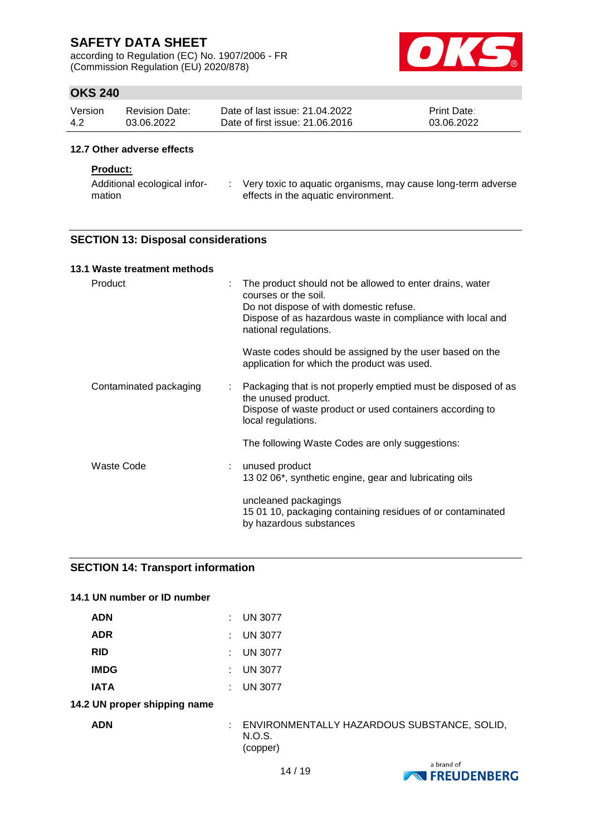according to Regulation (EC) No. 1907/2006 - FR (Commission Regulation (EU) 2020/878)



## **OKS 240**

| Version | <b>Revision Date:</b> | Date of last issue: 21.04.2022  | <b>Print Date:</b> |
|---------|-----------------------|---------------------------------|--------------------|
| 4.2     | 03.06.2022            | Date of first issue: 21,06,2016 | 03.06.2022         |

### **12.7 Other adverse effects**

#### **Product:**

| Additional ecological infor- | Very toxic to aquatic organisms, may cause long-term adverse |
|------------------------------|--------------------------------------------------------------|
| mation                       | effects in the aquatic environment.                          |

### **SECTION 13: Disposal considerations**

| 13.1 Waste treatment methods |                                                                                                                                                                                                                    |
|------------------------------|--------------------------------------------------------------------------------------------------------------------------------------------------------------------------------------------------------------------|
| Product                      | The product should not be allowed to enter drains, water<br>courses or the soil.<br>Do not dispose of with domestic refuse.<br>Dispose of as hazardous waste in compliance with local and<br>national regulations. |
|                              | Waste codes should be assigned by the user based on the<br>application for which the product was used.                                                                                                             |
| Contaminated packaging       | Packaging that is not properly emptied must be disposed of as<br>the unused product.<br>Dispose of waste product or used containers according to<br>local regulations.                                             |
|                              | The following Waste Codes are only suggestions:                                                                                                                                                                    |
| Waste Code                   | unused product<br>13 02 06*, synthetic engine, gear and lubricating oils                                                                                                                                           |
|                              | uncleaned packagings<br>15 01 10, packaging containing residues of or contaminated<br>by hazardous substances                                                                                                      |

#### **SECTION 14: Transport information**

#### **14.1 UN number or ID number**

| <b>ADN</b>                   | <b>UN 3077</b> |
|------------------------------|----------------|
| <b>ADR</b>                   | UN 3077        |
| <b>RID</b>                   | <b>UN 3077</b> |
| <b>IMDG</b>                  | <b>UN 3077</b> |
| <b>IATA</b>                  | <b>UN 3077</b> |
| 14.2 UN proper shipping name |                |
| .                            | FULLO ALIMP    |

**ADN** : ENVIRONMENTALLY HAZARDOUS SUBSTANCE, SOLID, N.O.S. (copper)

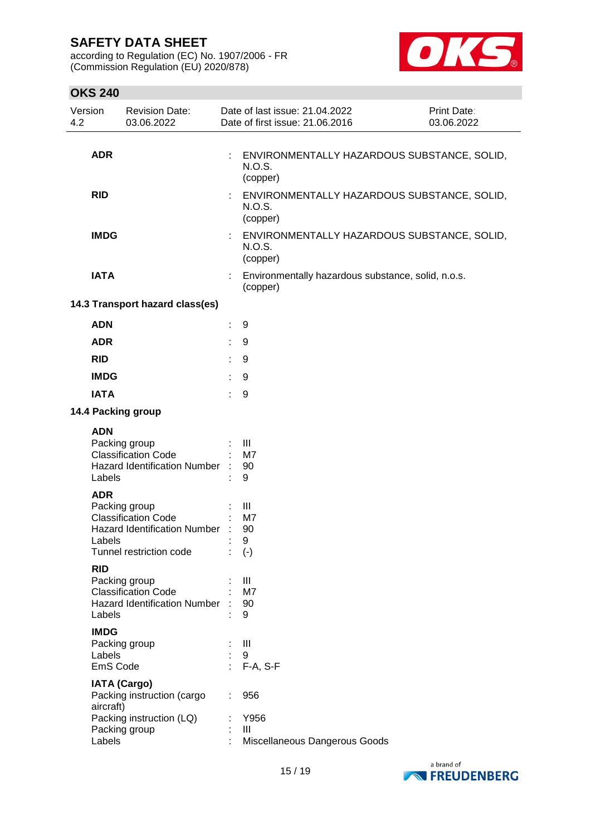according to Regulation (EC) No. 1907/2006 - FR (Commission Regulation (EU) 2020/878)



| Version<br>4.2                                                       | <b>Revision Date:</b><br>03.06.2022                                                                                                                                                                                                                                                       |           | Date of last issue: 21.04.2022<br>Date of first issue: 21.06.2016                                 | Print Date:<br>03.06.2022                   |
|----------------------------------------------------------------------|-------------------------------------------------------------------------------------------------------------------------------------------------------------------------------------------------------------------------------------------------------------------------------------------|-----------|---------------------------------------------------------------------------------------------------|---------------------------------------------|
| <b>ADR</b>                                                           |                                                                                                                                                                                                                                                                                           | ÷         | <b>N.O.S.</b><br>(copper)                                                                         | ENVIRONMENTALLY HAZARDOUS SUBSTANCE, SOLID, |
| <b>RID</b>                                                           |                                                                                                                                                                                                                                                                                           |           | N.O.S.<br>(copper)                                                                                | ENVIRONMENTALLY HAZARDOUS SUBSTANCE, SOLID, |
| <b>IMDG</b>                                                          |                                                                                                                                                                                                                                                                                           |           | N.O.S.<br>(copper)                                                                                | ENVIRONMENTALLY HAZARDOUS SUBSTANCE, SOLID, |
| <b>IATA</b>                                                          |                                                                                                                                                                                                                                                                                           |           | Environmentally hazardous substance, solid, n.o.s.<br>(copper)                                    |                                             |
|                                                                      | 14.3 Transport hazard class(es)                                                                                                                                                                                                                                                           |           |                                                                                                   |                                             |
| <b>ADN</b>                                                           |                                                                                                                                                                                                                                                                                           | ÷         | 9                                                                                                 |                                             |
| <b>ADR</b>                                                           |                                                                                                                                                                                                                                                                                           |           | 9                                                                                                 |                                             |
| <b>RID</b>                                                           |                                                                                                                                                                                                                                                                                           |           | 9                                                                                                 |                                             |
| <b>IMDG</b>                                                          |                                                                                                                                                                                                                                                                                           |           | 9                                                                                                 |                                             |
| <b>IATA</b>                                                          |                                                                                                                                                                                                                                                                                           | ÷.        | 9                                                                                                 |                                             |
|                                                                      | 14.4 Packing group                                                                                                                                                                                                                                                                        |           |                                                                                                   |                                             |
| <b>ADN</b><br>Labels<br><b>ADR</b><br>Labels<br><b>RID</b><br>Labels | Packing group<br><b>Classification Code</b><br><b>Hazard Identification Number</b><br>Packing group<br><b>Classification Code</b><br><b>Hazard Identification Number</b><br>Tunnel restriction code<br>Packing group<br><b>Classification Code</b><br><b>Hazard Identification Number</b> |           | III<br>M7<br>90<br>9<br>Ш<br>M7<br>90<br>9<br>$(\text{-})$<br>$\mathbf{III}$<br>M7<br>90<br>9     |                                             |
| <b>IMDG</b><br>Labels<br>aircraft)<br>Labels                         | Packing group<br>EmS Code<br><b>IATA (Cargo)</b><br>Packing instruction (cargo<br>Packing instruction (LQ)<br>Packing group                                                                                                                                                               | $\bullet$ | $\mathbf{III}$<br>9<br>F-A, S-F<br>956<br>Y956<br>$\mathbf{III}$<br>Miscellaneous Dangerous Goods |                                             |

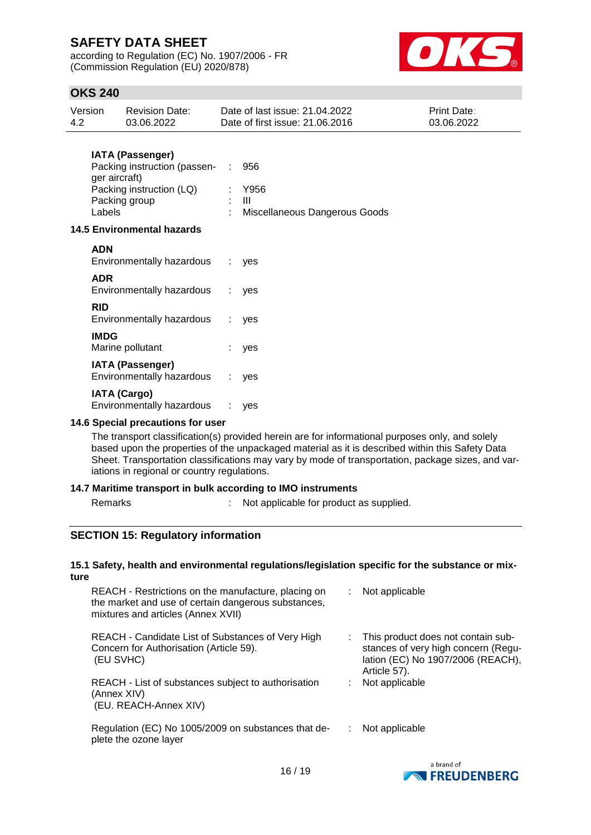according to Regulation (EC) No. 1907/2006 - FR (Commission Regulation (EU) 2020/878)



## **OKS 240**

| Version | <b>Revision Date:</b> | Date of last issue: 21.04.2022  | <b>Print Date:</b> |
|---------|-----------------------|---------------------------------|--------------------|
| -4.2    | 03.06.2022            | Date of first issue: 21.06.2016 | 03.06.2022         |

### **IATA (Passenger)**

| Packing instruction (passen- | 956                             |
|------------------------------|---------------------------------|
| ger aircraft)                |                                 |
| Packing instruction (LQ)     | : Y956                          |
| Packing group                | : III                           |
| Labels                       | : Miscellaneous Dangerous Goods |

#### **14.5 Environmental hazards**

| <b>ADN</b><br>Environmentally hazardous              | $\mathcal{L}$ | ves |
|------------------------------------------------------|---------------|-----|
| <b>ADR</b><br>Environmentally hazardous              | -11           | ves |
| <b>RID</b><br>Environmentally hazardous :            |               | ves |
| <b>IMDG</b><br>Marine pollutant                      |               | yes |
| <b>IATA (Passenger)</b><br>Environmentally hazardous | $\mathcal{L}$ | ves |
| <b>IATA (Cargo)</b><br>Environmentally hazardous     |               | ves |

#### **14.6 Special precautions for user**

The transport classification(s) provided herein are for informational purposes only, and solely based upon the properties of the unpackaged material as it is described within this Safety Data Sheet. Transportation classifications may vary by mode of transportation, package sizes, and variations in regional or country regulations.

#### **14.7 Maritime transport in bulk according to IMO instruments**

Remarks : Not applicable for product as supplied.

### **SECTION 15: Regulatory information**

#### **15.1 Safety, health and environmental regulations/legislation specific for the substance or mixture**

| REACH - Restrictions on the manufacture, placing on<br>the market and use of certain dangerous substances,<br>mixtures and articles (Annex XVII) | ÷. | Not applicable                                                                                                                 |
|--------------------------------------------------------------------------------------------------------------------------------------------------|----|--------------------------------------------------------------------------------------------------------------------------------|
| REACH - Candidate List of Substances of Very High<br>Concern for Authorisation (Article 59).<br>(EU SVHC)                                        |    | This product does not contain sub-<br>stances of very high concern (Regu-<br>lation (EC) No 1907/2006 (REACH),<br>Article 57). |
| REACH - List of substances subject to authorisation<br>(Annex XIV)<br>(EU. REACH-Annex XIV)                                                      |    | Not applicable                                                                                                                 |
| Regulation (EC) No 1005/2009 on substances that de-<br>plete the ozone layer                                                                     |    | Not applicable                                                                                                                 |

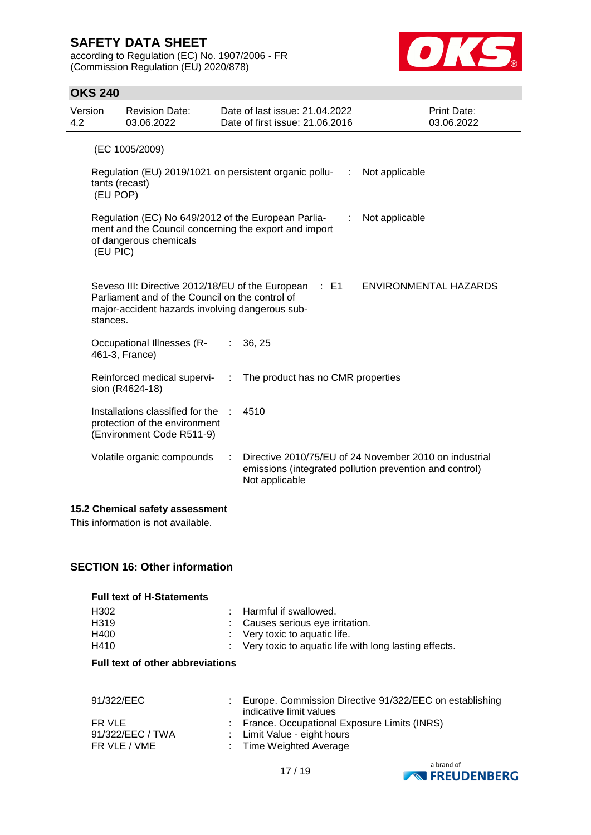according to Regulation (EC) No. 1907/2006 - FR (Commission Regulation (EU) 2020/878)



### **OKS 240**

| Version<br>4.2                                                                                                                                                            |          | <b>Revision Date:</b><br>03.06.2022                                                                |   | Date of last issue: 21.04.2022<br>Date of first issue: 21.06.2016 | Print Date:<br>03.06.2022                                                                                         |
|---------------------------------------------------------------------------------------------------------------------------------------------------------------------------|----------|----------------------------------------------------------------------------------------------------|---|-------------------------------------------------------------------|-------------------------------------------------------------------------------------------------------------------|
|                                                                                                                                                                           |          | (EC 1005/2009)                                                                                     |   |                                                                   |                                                                                                                   |
|                                                                                                                                                                           | (EU POP) | tants (recast)                                                                                     |   | Regulation (EU) 2019/1021 on persistent organic pollu-<br>÷       | Not applicable                                                                                                    |
| Regulation (EC) No 649/2012 of the European Parlia-<br>Not applicable<br>÷<br>ment and the Council concerning the export and import<br>of dangerous chemicals<br>(EU PIC) |          |                                                                                                    |   |                                                                   |                                                                                                                   |
|                                                                                                                                                                           | stances. | Parliament and of the Council on the control of<br>major-accident hazards involving dangerous sub- |   | Seveso III: Directive 2012/18/EU of the European : E1             | ENVIRONMENTAL HAZARDS                                                                                             |
|                                                                                                                                                                           |          | Occupational Illnesses (R-<br>461-3, France)                                                       | ÷ | 36, 25                                                            |                                                                                                                   |
|                                                                                                                                                                           |          | Reinforced medical supervi-<br>sion (R4624-18)                                                     |   | The product has no CMR properties                                 |                                                                                                                   |
|                                                                                                                                                                           |          | Installations classified for the<br>protection of the environment<br>(Environment Code R511-9)     |   | 4510                                                              |                                                                                                                   |
|                                                                                                                                                                           |          | Volatile organic compounds                                                                         |   | Not applicable                                                    | Directive 2010/75/EU of 24 November 2010 on industrial<br>emissions (integrated pollution prevention and control) |
|                                                                                                                                                                           |          |                                                                                                    |   |                                                                   |                                                                                                                   |

### **15.2 Chemical safety assessment**

This information is not available.

### **SECTION 16: Other information**

| <b>Full text of H-Statements</b> |                                                         |
|----------------------------------|---------------------------------------------------------|
| H302                             | : Harmful if swallowed.                                 |
| H <sub>319</sub>                 | : Causes serious eye irritation.                        |
| H400                             | $\therefore$ Very toxic to aquatic life.                |
| H410                             | : Very toxic to aquatic life with long lasting effects. |

#### **Full text of other abbreviations**

| 91/322/EEC |
|------------|

| 91/322/EEC                                 | Europe. Commission Directive 91/322/EEC on establishing<br>indicative limit values                      |
|--------------------------------------------|---------------------------------------------------------------------------------------------------------|
| FR VLE<br>91/322/EEC / TWA<br>FR VLE / VME | : France. Occupational Exposure Limits (INRS)<br>: Limit Value - eight hours<br>: Time Weighted Average |

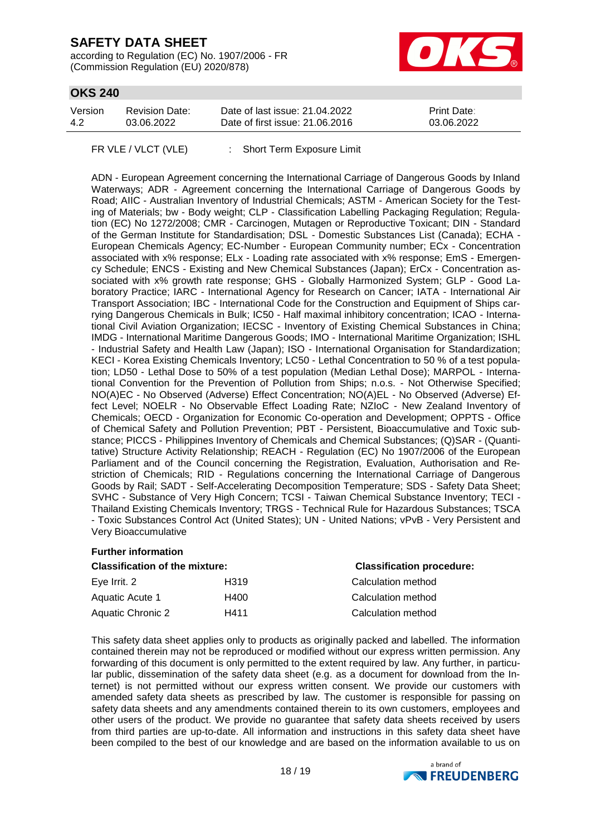according to Regulation (EC) No. 1907/2006 - FR (Commission Regulation (EU) 2020/878)



## **OKS 240**

| Version | Revision Date: | Date of last issue: 21.04.2022  | <b>Print Date:</b> |
|---------|----------------|---------------------------------|--------------------|
| 4.2     | 03.06.2022     | Date of first issue: 21,06,2016 | 03.06.2022         |

FR VLE / VLCT (VLE) : Short Term Exposure Limit

ADN - European Agreement concerning the International Carriage of Dangerous Goods by Inland Waterways; ADR - Agreement concerning the International Carriage of Dangerous Goods by Road; AIIC - Australian Inventory of Industrial Chemicals; ASTM - American Society for the Testing of Materials; bw - Body weight; CLP - Classification Labelling Packaging Regulation; Regulation (EC) No 1272/2008; CMR - Carcinogen, Mutagen or Reproductive Toxicant; DIN - Standard of the German Institute for Standardisation; DSL - Domestic Substances List (Canada); ECHA - European Chemicals Agency; EC-Number - European Community number; ECx - Concentration associated with x% response; ELx - Loading rate associated with x% response; EmS - Emergency Schedule; ENCS - Existing and New Chemical Substances (Japan); ErCx - Concentration associated with x% growth rate response; GHS - Globally Harmonized System; GLP - Good Laboratory Practice; IARC - International Agency for Research on Cancer; IATA - International Air Transport Association; IBC - International Code for the Construction and Equipment of Ships carrying Dangerous Chemicals in Bulk; IC50 - Half maximal inhibitory concentration; ICAO - International Civil Aviation Organization; IECSC - Inventory of Existing Chemical Substances in China; IMDG - International Maritime Dangerous Goods; IMO - International Maritime Organization; ISHL - Industrial Safety and Health Law (Japan); ISO - International Organisation for Standardization; KECI - Korea Existing Chemicals Inventory; LC50 - Lethal Concentration to 50 % of a test population; LD50 - Lethal Dose to 50% of a test population (Median Lethal Dose); MARPOL - International Convention for the Prevention of Pollution from Ships; n.o.s. - Not Otherwise Specified; NO(A)EC - No Observed (Adverse) Effect Concentration; NO(A)EL - No Observed (Adverse) Effect Level; NOELR - No Observable Effect Loading Rate; NZIoC - New Zealand Inventory of Chemicals; OECD - Organization for Economic Co-operation and Development; OPPTS - Office of Chemical Safety and Pollution Prevention; PBT - Persistent, Bioaccumulative and Toxic substance; PICCS - Philippines Inventory of Chemicals and Chemical Substances; (Q)SAR - (Quantitative) Structure Activity Relationship; REACH - Regulation (EC) No 1907/2006 of the European Parliament and of the Council concerning the Registration, Evaluation, Authorisation and Restriction of Chemicals; RID - Regulations concerning the International Carriage of Dangerous Goods by Rail; SADT - Self-Accelerating Decomposition Temperature; SDS - Safety Data Sheet; SVHC - Substance of Very High Concern; TCSI - Taiwan Chemical Substance Inventory; TECI - Thailand Existing Chemicals Inventory; TRGS - Technical Rule for Hazardous Substances; TSCA - Toxic Substances Control Act (United States); UN - United Nations; vPvB - Very Persistent and Very Bioaccumulative

#### **Further information**

| <b>Classification of the mixture:</b> |      | <b>Classification procedure:</b> |  |
|---------------------------------------|------|----------------------------------|--|
| Eye Irrit. 2                          | H319 | Calculation method               |  |
| Aquatic Acute 1                       | H400 | Calculation method               |  |
| Aquatic Chronic 2                     | H411 | Calculation method               |  |

This safety data sheet applies only to products as originally packed and labelled. The information contained therein may not be reproduced or modified without our express written permission. Any forwarding of this document is only permitted to the extent required by law. Any further, in particular public, dissemination of the safety data sheet (e.g. as a document for download from the Internet) is not permitted without our express written consent. We provide our customers with amended safety data sheets as prescribed by law. The customer is responsible for passing on safety data sheets and any amendments contained therein to its own customers, employees and other users of the product. We provide no guarantee that safety data sheets received by users from third parties are up-to-date. All information and instructions in this safety data sheet have been compiled to the best of our knowledge and are based on the information available to us on